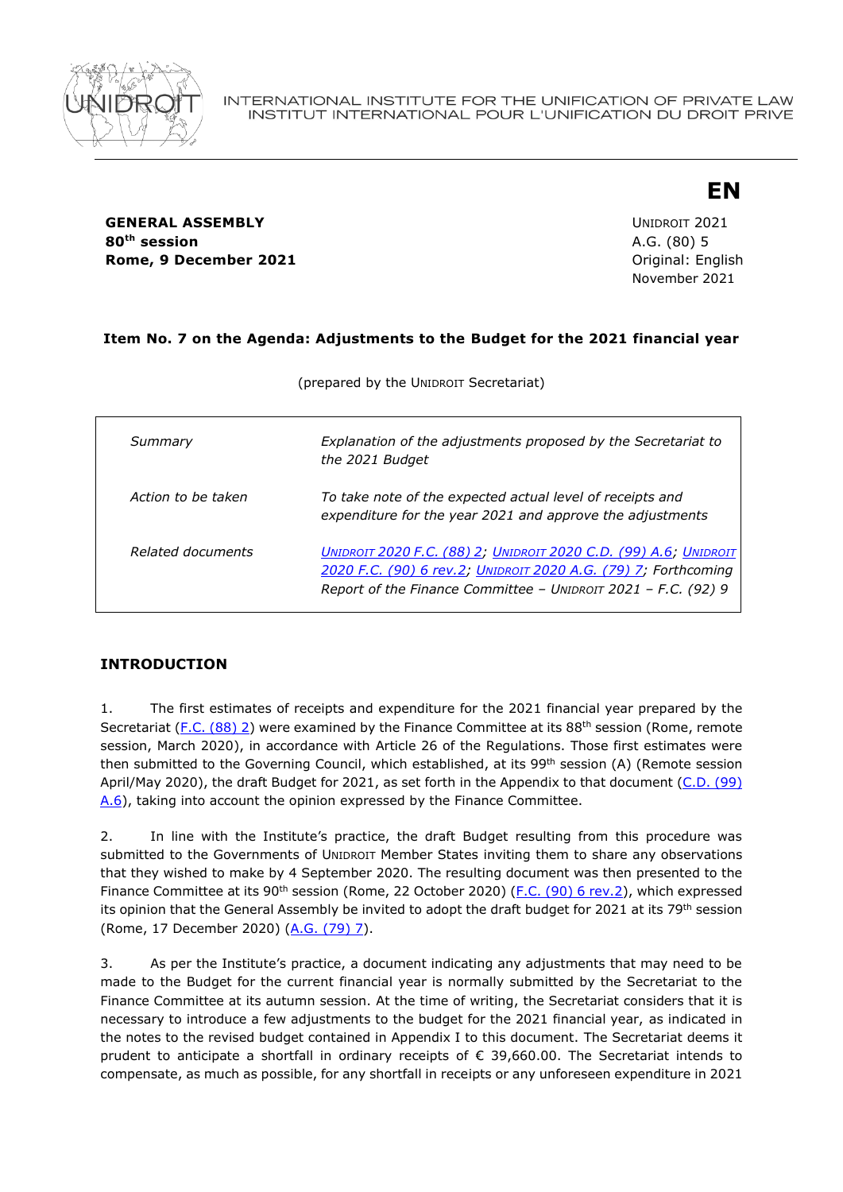

**GENERAL ASSEMBLY** UNIDROIT 2021 **80th session** A.G. (80) 5 **Rome, 9 December 2021 Communicate Communicate Communicate Communicate Communicate Communicate Communicate Communicate Communicate Communicate Communicate Communicate Communicate Communicate Communicate Communicate Commu** 

November 2021

**EN**

## **Item No. 7 on the Agenda: Adjustments to the Budget for the 2021 financial year**

| Summary            | Explanation of the adjustments proposed by the Secretariat to<br>the 2021 Budget                                                                                                                    |
|--------------------|-----------------------------------------------------------------------------------------------------------------------------------------------------------------------------------------------------|
| Action to be taken | To take note of the expected actual level of receipts and<br>expenditure for the year 2021 and approve the adjustments                                                                              |
| Related documents  | UNIDROIT 2020 F.C. (88) 2; UNIDROIT 2020 C.D. (99) A.6; UNIDROIT<br>2020 F.C. (90) 6 rev.2; UNIDROIT 2020 A.G. (79) 7; Forthcoming<br>Report of the Finance Committee - UNIDROIT 2021 - F.C. (92) 9 |

(prepared by the UNIDROIT Secretariat)

# **INTRODUCTION**

1. The first estimates of receipts and expenditure for the 2021 financial year prepared by the Secretariat [\(F.C. \(88\) 2\)](https://www.unidroit.org/english/governments/financecommitteedocuments/2020-88session/fc-88-02-e.pdf) were examined by the Finance Committee at its 88<sup>th</sup> session (Rome, remote session, March 2020), in accordance with Article 26 of the Regulations. Those first estimates were then submitted to the Governing Council, which established, at its 99<sup>th</sup> session (A) (Remote session April/May 2020), the draft Budget for 2021, as set forth in the Appendix to that document [\(C.D. \(99\)](https://www.unidroit.org/english/governments/councildocuments/2020session/cd-99-a-06-e.pdf)  [A.6\)](https://www.unidroit.org/english/governments/councildocuments/2020session/cd-99-a-06-e.pdf), taking into account the opinion expressed by the Finance Committee.

2. In line with the Institute's practice, the draft Budget resulting from this procedure was submitted to the Governments of UNIDROIT Member States inviting them to share any observations that they wished to make by 4 September 2020. The resulting document was then presented to the Finance Committee at its 90<sup>th</sup> session (Rome, 22 October 2020) [\(F.C. \(90\) 6](https://www.unidroit.org/english/governments/financecommitteedocuments/2020-90session/fc-90-06rev-02-e.pdf) rev.2), which expressed its opinion that the General Assembly be invited to adopt the draft budget for 2021 at its 79<sup>th</sup> session (Rome, 17 December 2020) [\(A.G. \(79\) 7\)](https://www.unidroit.org/english/governments/assemblydocuments/2020-79session/ag-79-07-e.pdf).

3. As per the Institute's practice, a document indicating any adjustments that may need to be made to the Budget for the current financial year is normally submitted by the Secretariat to the Finance Committee at its autumn session. At the time of writing, the Secretariat considers that it is necessary to introduce a few adjustments to the budget for the 2021 financial year, as indicated in the notes to the revised budget contained in Appendix I to this document. The Secretariat deems it prudent to anticipate a shortfall in ordinary receipts of € 39,660.00. The Secretariat intends to compensate, as much as possible, for any shortfall in receipts or any unforeseen expenditure in 2021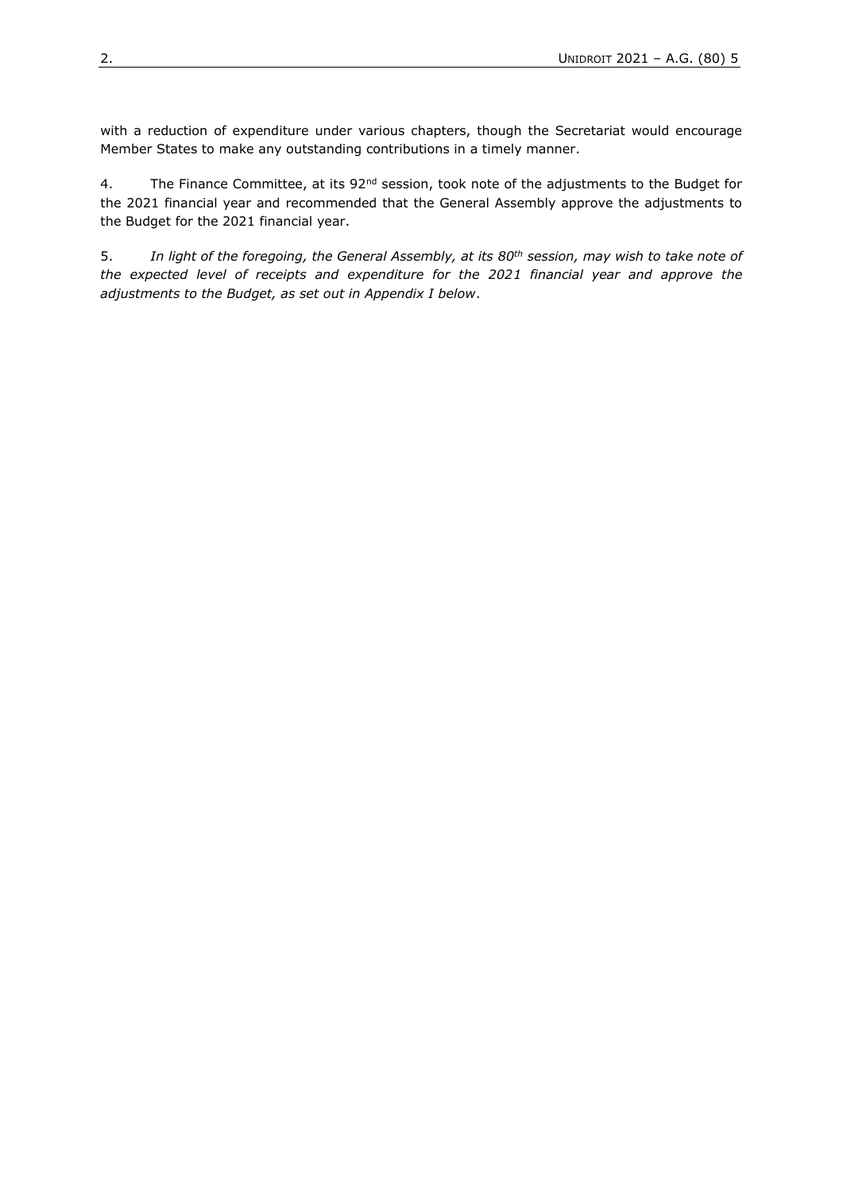with a reduction of expenditure under various chapters, though the Secretariat would encourage Member States to make any outstanding contributions in a timely manner.

4. The Finance Committee, at its 92<sup>nd</sup> session, took note of the adjustments to the Budget for the 2021 financial year and recommended that the General Assembly approve the adjustments to the Budget for the 2021 financial year.

5. *In light of the foregoing, the General Assembly, at its 80th session, may wish to take note of the expected level of receipts and expenditure for the 2021 financial year and approve the adjustments to the Budget, as set out in Appendix I below*.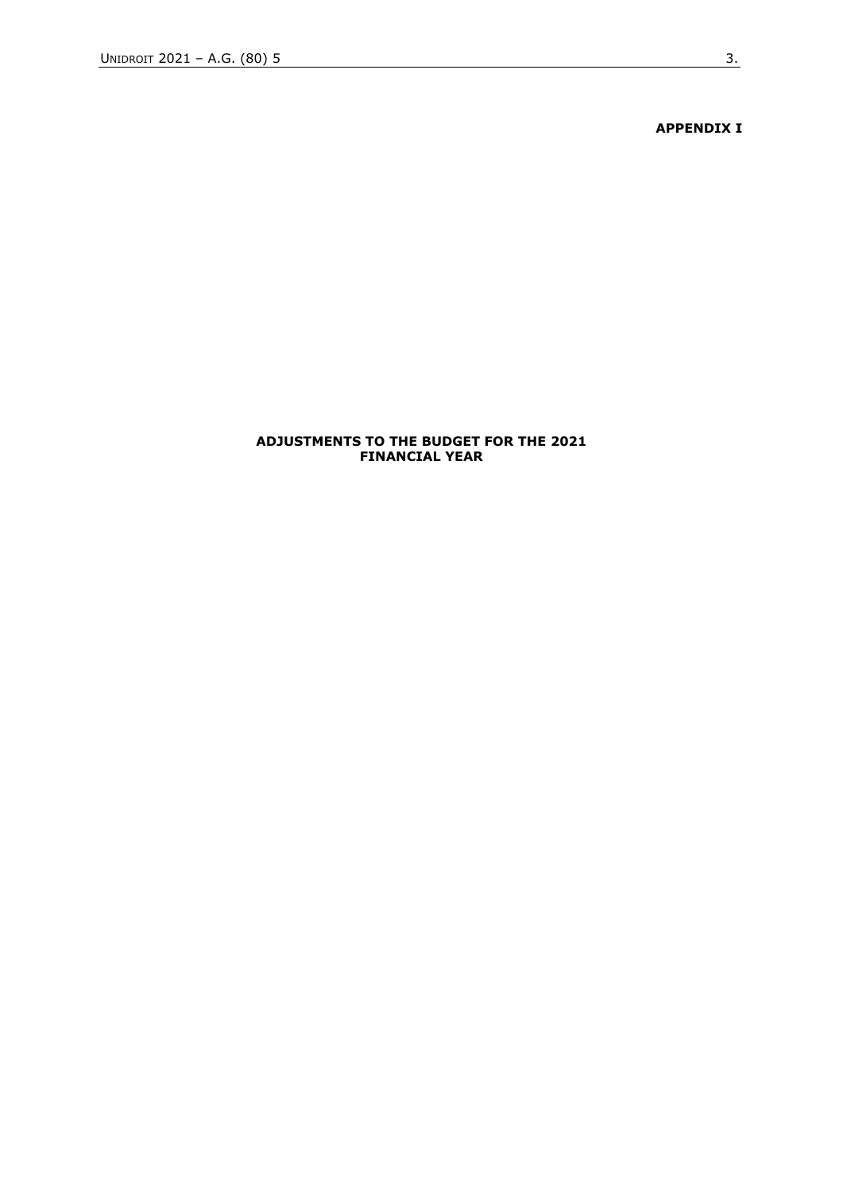**APPENDIX I**

#### **ADJUSTMENTS TO THE BUDGET FOR THE 2021 FINANCIAL YEAR**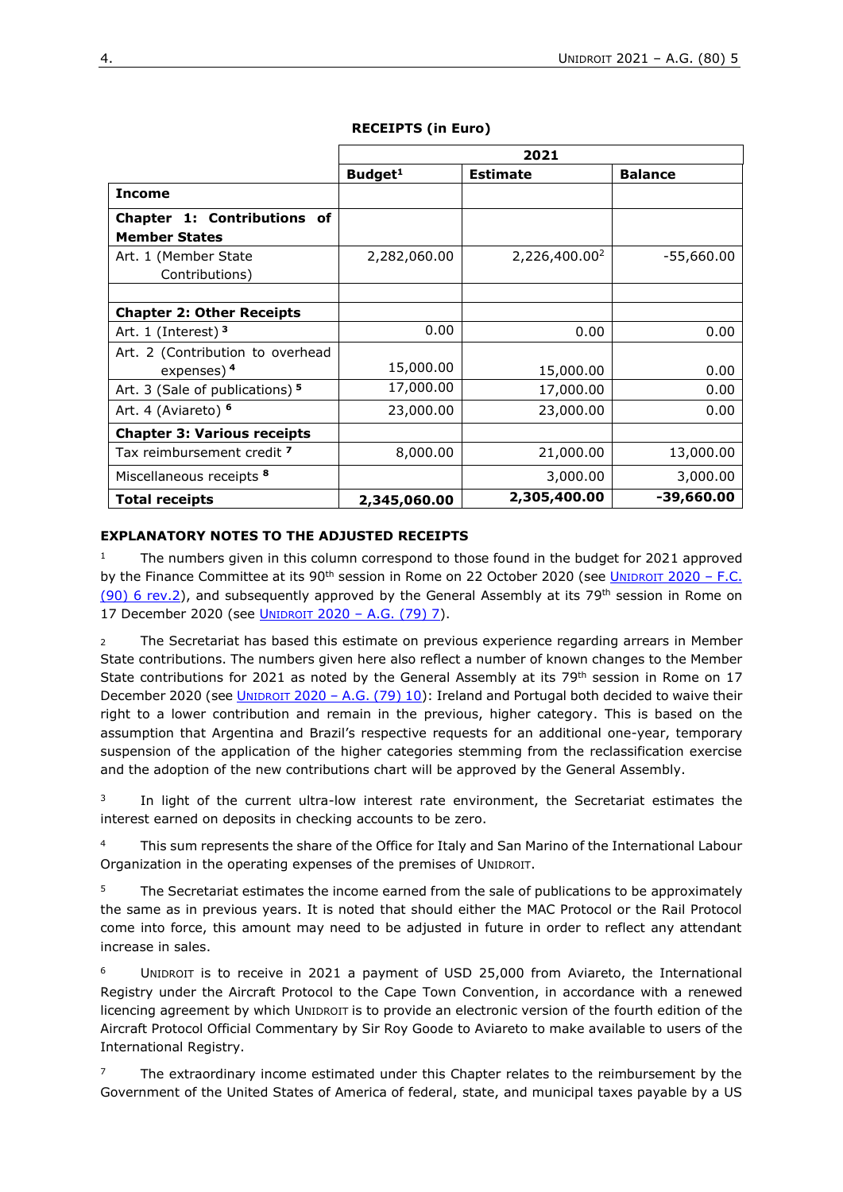|                                                            | 2021                |                           |                |  |
|------------------------------------------------------------|---------------------|---------------------------|----------------|--|
|                                                            | Budget <sup>1</sup> | <b>Estimate</b>           | <b>Balance</b> |  |
| <b>Income</b>                                              |                     |                           |                |  |
| Chapter 1: Contributions of<br><b>Member States</b>        |                     |                           |                |  |
| Art. 1 (Member State                                       | 2,282,060.00        | 2,226,400.00 <sup>2</sup> | -55,660.00     |  |
| Contributions)                                             |                     |                           |                |  |
|                                                            |                     |                           |                |  |
| <b>Chapter 2: Other Receipts</b>                           |                     |                           |                |  |
| Art. 1 (Interest) $3$                                      | 0.00                | 0.00                      | 0.00           |  |
| Art. 2 (Contribution to overhead<br>expenses) <sup>4</sup> | 15,000.00           | 15,000.00                 | 0.00           |  |
| Art. 3 (Sale of publications) 5                            | 17,000.00           | 17,000.00                 | 0.00           |  |
| Art. 4 (Aviareto) <sup>6</sup>                             | 23,000.00           | 23,000.00                 | 0.00           |  |
| <b>Chapter 3: Various receipts</b>                         |                     |                           |                |  |
| Tax reimbursement credit 7                                 | 8,000.00            | 21,000.00                 | 13,000.00      |  |
| Miscellaneous receipts <sup>8</sup>                        |                     | 3,000.00                  | 3,000.00       |  |
| <b>Total receipts</b>                                      | 2,345,060.00        | 2,305,400.00              | -39,660.00     |  |

#### **RECEIPTS (in Euro)**

#### **EXPLANATORY NOTES TO THE ADJUSTED RECEIPTS**

<sup>1</sup> The numbers given in this column correspond to those found in the budget for 2021 approved by the Finance Committee at its  $90<sup>th</sup>$  session in Rome on 22 October 2020 (see U[NIDROIT](https://www.unidroit.org/english/governments/financecommitteedocuments/2020-90session/fc-90-06rev-02-e.pdf) 2020 – F.C. (90) [6 rev.2\)](https://www.unidroit.org/english/governments/financecommitteedocuments/2020-90session/fc-90-06rev-02-e.pdf), and subsequently approved by the General Assembly at its 79<sup>th</sup> session in Rome on 17 December 2020 (see UNIDROIT 2020 – [A.G. \(79\) 7\)](https://www.unidroit.org/english/governments/assemblydocuments/2020-79session/ag-79-07-e.pdf).

<sup>2</sup> The Secretariat has based this estimate on previous experience regarding arrears in Member State contributions. The numbers given here also reflect a number of known changes to the Member State contributions for 2021 as noted by the General Assembly at its 79<sup>th</sup> session in Rome on 17 December 2020 (see UNIDROIT 2020 – A.G.  $(79)$  10): Ireland and Portugal both decided to waive their right to a lower contribution and remain in the previous, higher category. This is based on the assumption that Argentina and Brazil's respective requests for an additional one-year, temporary suspension of the application of the higher categories stemming from the reclassification exercise and the adoption of the new contributions chart will be approved by the General Assembly.

 $3$  In light of the current ultra-low interest rate environment, the Secretariat estimates the interest earned on deposits in checking accounts to be zero.

<sup>4</sup>This sum represents the share of the Office for Italy and San Marino of the International Labour Organization in the operating expenses of the premises of UNIDROIT.

The Secretariat estimates the income earned from the sale of publications to be approximately the same as in previous years. It is noted that should either the MAC Protocol or the Rail Protocol come into force, this amount may need to be adjusted in future in order to reflect any attendant increase in sales.

UNIDROIT is to receive in 2021 a payment of USD 25,000 from Aviareto, the International Registry under the Aircraft Protocol to the Cape Town Convention, in accordance with a renewed licencing agreement by which UNIDROIT is to provide an electronic version of the fourth edition of the Aircraft Protocol Official Commentary by Sir Roy Goode to Aviareto to make available to users of the International Registry.

The extraordinary income estimated under this Chapter relates to the reimbursement by the Government of the United States of America of federal, state, and municipal taxes payable by a US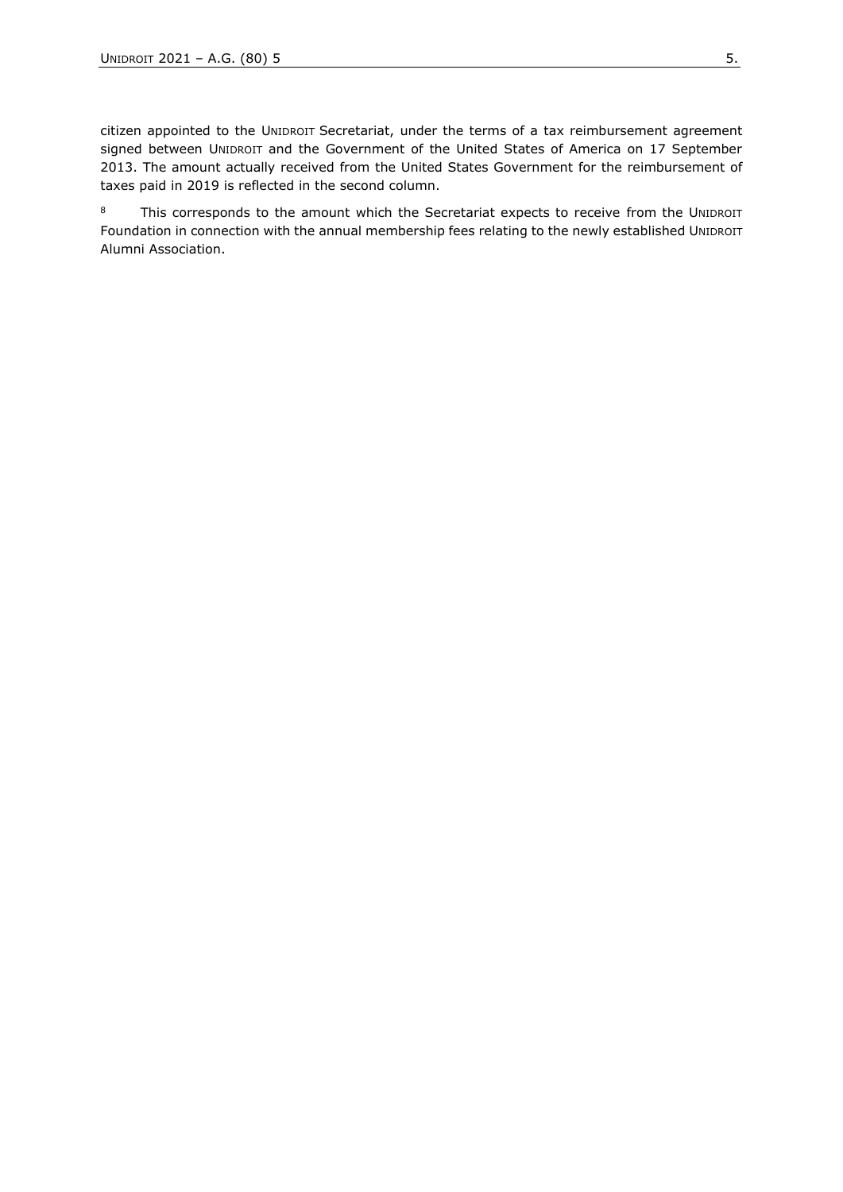citizen appointed to the UNIDROIT Secretariat, under the terms of a tax reimbursement agreement signed between UNIDROIT and the Government of the United States of America on 17 September 2013. The amount actually received from the United States Government for the reimbursement of taxes paid in 2019 is reflected in the second column.

8 This corresponds to the amount which the Secretariat expects to receive from the UNIDROIT Foundation in connection with the annual membership fees relating to the newly established UNIDROIT Alumni Association.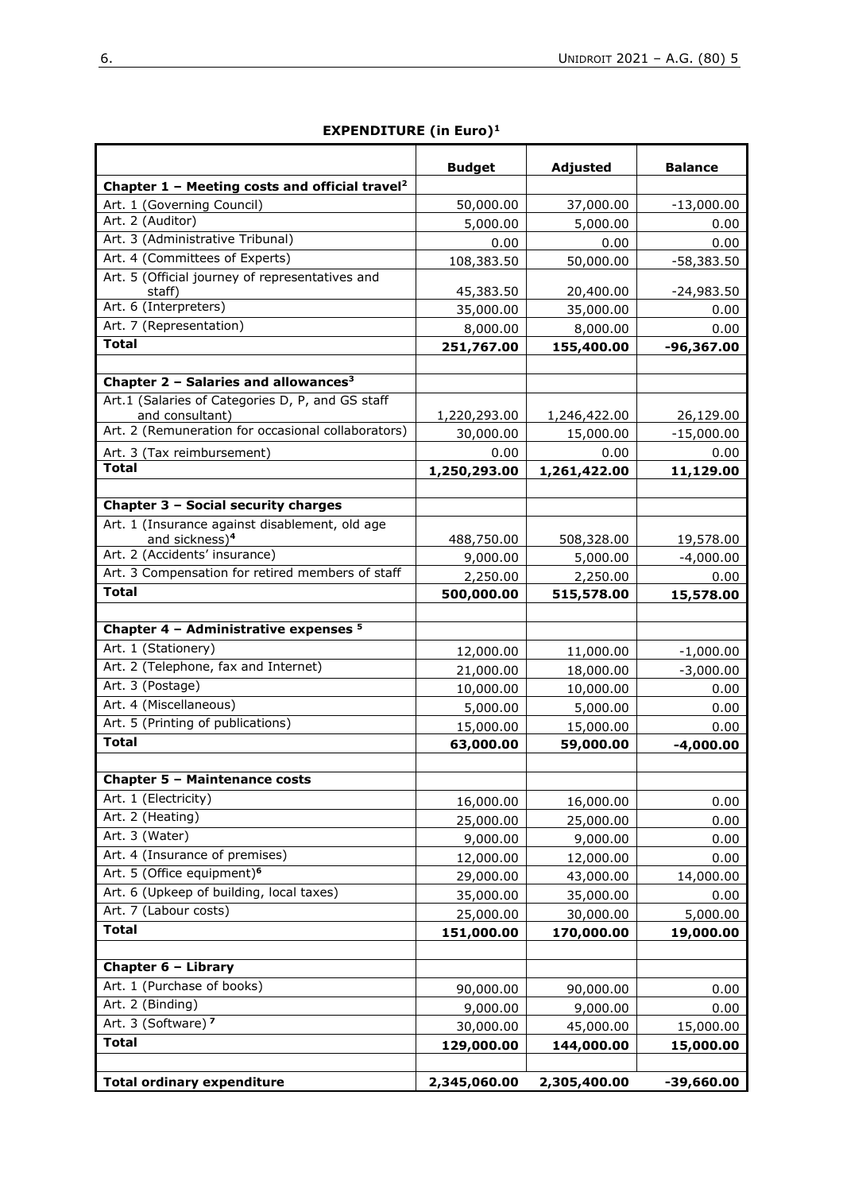|                                                            | <b>Budget</b> | Adjusted     | <b>Balance</b> |
|------------------------------------------------------------|---------------|--------------|----------------|
| Chapter 1 - Meeting costs and official travel <sup>2</sup> |               |              |                |
| Art. 1 (Governing Council)                                 | 50,000.00     | 37,000.00    | $-13,000.00$   |
| Art. 2 (Auditor)                                           | 5,000.00      | 5,000.00     | 0.00           |
| Art. 3 (Administrative Tribunal)                           | 0.00          | 0.00         | 0.00           |
| Art. 4 (Committees of Experts)                             | 108,383.50    | 50,000.00    | $-58,383.50$   |
| Art. 5 (Official journey of representatives and<br>staff)  | 45,383.50     | 20,400.00    | $-24,983.50$   |
| Art. 6 (Interpreters)                                      | 35,000.00     | 35,000.00    | 0.00           |
| Art. 7 (Representation)                                    |               |              | 0.00           |
| <b>Total</b>                                               | 8,000.00      | 8,000.00     |                |
|                                                            | 251,767.00    | 155,400.00   | $-96,367.00$   |
| Chapter 2 - Salaries and allowances <sup>3</sup>           |               |              |                |
| Art.1 (Salaries of Categories D, P, and GS staff           |               |              |                |
| and consultant)                                            | 1,220,293.00  | 1,246,422.00 | 26,129.00      |
| Art. 2 (Remuneration for occasional collaborators)         | 30,000.00     | 15,000.00    | $-15,000.00$   |
| Art. 3 (Tax reimbursement)                                 | 0.00          | 0.00         | 0.00           |
| <b>Total</b>                                               | 1,250,293.00  | 1,261,422.00 | 11,129.00      |
|                                                            |               |              |                |
| Chapter 3 - Social security charges                        |               |              |                |
| Art. 1 (Insurance against disablement, old age             |               |              |                |
| and sickness) <sup>4</sup>                                 | 488,750.00    | 508,328.00   | 19,578.00      |
| Art. 2 (Accidents' insurance)                              | 9,000.00      | 5,000.00     | $-4,000.00$    |
| Art. 3 Compensation for retired members of staff           | 2,250.00      | 2,250.00     | 0.00           |
| <b>Total</b>                                               | 500,000.00    | 515,578.00   | 15,578.00      |
|                                                            |               |              |                |
| Chapter 4 - Administrative expenses <sup>5</sup>           |               |              |                |
| Art. 1 (Stationery)                                        | 12,000.00     | 11,000.00    | $-1,000.00$    |
| Art. 2 (Telephone, fax and Internet)                       | 21,000.00     | 18,000.00    | $-3,000.00$    |
| Art. 3 (Postage)                                           | 10,000.00     | 10,000.00    | 0.00           |
| Art. 4 (Miscellaneous)                                     | 5,000.00      | 5,000.00     | 0.00           |
| Art. 5 (Printing of publications)                          | 15,000.00     | 15,000.00    | 0.00           |
| <b>Total</b>                                               | 63,000.00     | 59,000.00    | $-4,000.00$    |
|                                                            |               |              |                |
| <b>Chapter 5 - Maintenance costs</b>                       |               |              |                |
| Art. 1 (Electricity)                                       | 16,000.00     | 16,000.00    | 0.00           |
| Art. 2 (Heating)                                           | 25,000.00     | 25,000.00    | 0.00           |
| Art. 3 (Water)                                             | 9,000.00      | 9,000.00     | 0.00           |
| Art. 4 (Insurance of premises)                             | 12,000.00     | 12,000.00    | 0.00           |
| Art. 5 (Office equipment) <sup>6</sup>                     | 29,000.00     | 43,000.00    | 14,000.00      |
| Art. 6 (Upkeep of building, local taxes)                   | 35,000.00     | 35,000.00    | 0.00           |
| Art. 7 (Labour costs)                                      | 25,000.00     | 30,000.00    | 5,000.00       |
| <b>Total</b>                                               | 151,000.00    | 170,000.00   | 19,000.00      |
|                                                            |               |              |                |
| Chapter 6 - Library                                        |               |              |                |
| Art. 1 (Purchase of books)                                 | 90,000.00     | 90,000.00    | 0.00           |
| Art. 2 (Binding)                                           | 9,000.00      | 9,000.00     | 0.00           |
| Art. 3 (Software) <sup>7</sup>                             | 30,000.00     | 45,000.00    | 15,000.00      |
| <b>Total</b>                                               | 129,000.00    | 144,000.00   | 15,000.00      |
|                                                            |               |              |                |
| <b>Total ordinary expenditure</b>                          | 2,345,060.00  | 2,305,400.00 | $-39,660.00$   |

#### **EXPENDITURE (in Euro)<sup>1</sup>**